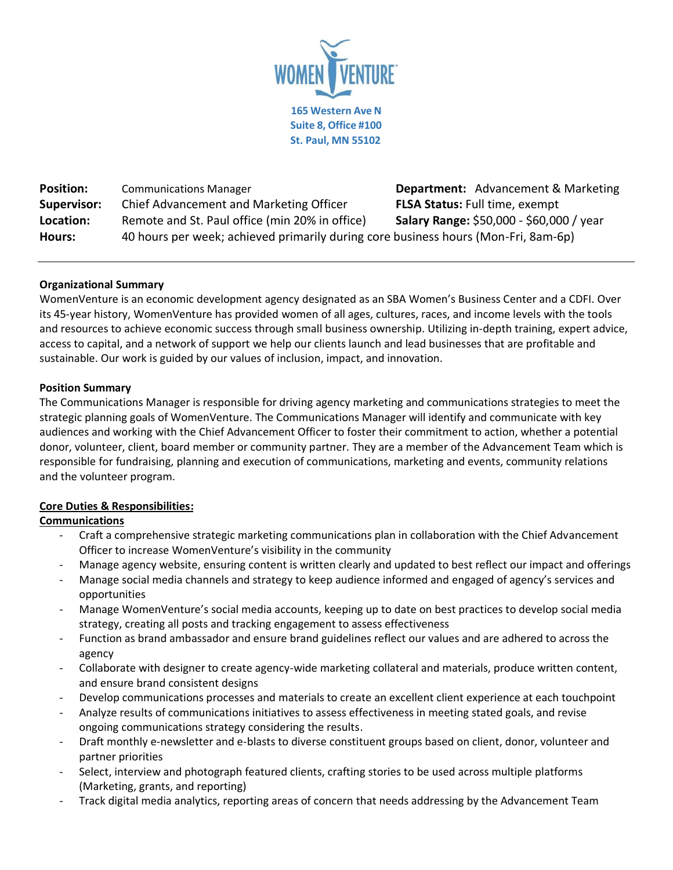

**Position:** Communications Manager **Department:** Advancement & Marketing **Supervisor:** Chief Advancement and Marketing Officer **FLSA Status:** Full time, exempt **Location:** Remote and St. Paul office (min 20% in office) **Salary Range:** \$50,000 - \$60,000 / year **Hours:** 40 hours per week; achieved primarily during core business hours (Mon-Fri, 8am-6p)

## **Organizational Summary**

WomenVenture is an economic development agency designated as an SBA Women's Business Center and a CDFI. Over its 45-year history, WomenVenture has provided women of all ages, cultures, races, and income levels with the tools and resources to achieve economic success through small business ownership. Utilizing in-depth training, expert advice, access to capital, and a network of support we help our clients launch and lead businesses that are profitable and sustainable. Our work is guided by our values of inclusion, impact, and innovation.

#### **Position Summary**

The Communications Manager is responsible for driving agency marketing and communications strategies to meet the strategic planning goals of WomenVenture. The Communications Manager will identify and communicate with key audiences and working with the Chief Advancement Officer to foster their commitment to action, whether a potential donor, volunteer, client, board member or community partner. They are a member of the Advancement Team which is responsible for fundraising, planning and execution of communications, marketing and events, community relations and the volunteer program.

# **Core Duties & Responsibilities:**

# **Communications**

- Craft a comprehensive strategic marketing communications plan in collaboration with the Chief Advancement Officer to increase WomenVenture's visibility in the community
- Manage agency website, ensuring content is written clearly and updated to best reflect our impact and offerings
- Manage social media channels and strategy to keep audience informed and engaged of agency's services and opportunities
- Manage WomenVenture's social media accounts, keeping up to date on best practices to develop social media strategy, creating all posts and tracking engagement to assess effectiveness
- Function as brand ambassador and ensure brand guidelines reflect our values and are adhered to across the agency
- Collaborate with designer to create agency-wide marketing collateral and materials, produce written content, and ensure brand consistent designs
- Develop communications processes and materials to create an excellent client experience at each touchpoint
- Analyze results of communications initiatives to assess effectiveness in meeting stated goals, and revise ongoing communications strategy considering the results.
- Draft monthly e-newsletter and e-blasts to diverse constituent groups based on client, donor, volunteer and partner priorities
- Select, interview and photograph featured clients, crafting stories to be used across multiple platforms (Marketing, grants, and reporting)
- Track digital media analytics, reporting areas of concern that needs addressing by the Advancement Team